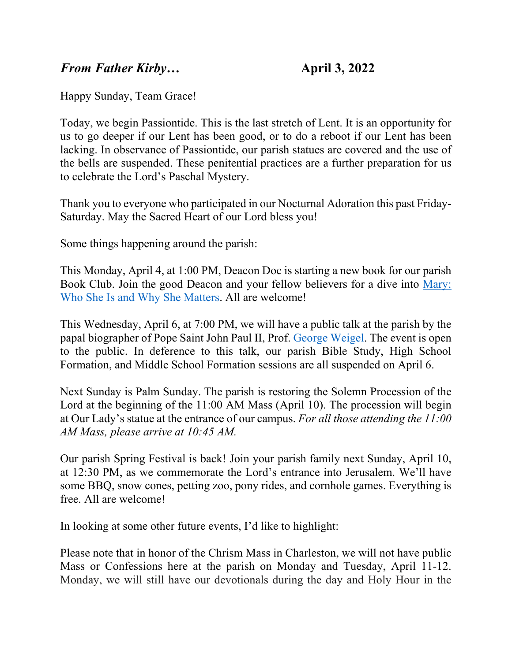## *From Father Kirby…* **April 3, 2022**

Happy Sunday, Team Grace!

Today, we begin Passiontide. This is the last stretch of Lent. It is an opportunity for us to go deeper if our Lent has been good, or to do a reboot if our Lent has been lacking. In observance of Passiontide, our parish statues are covered and the use of the bells are suspended. These penitential practices are a further preparation for us to celebrate the Lord's Paschal Mystery.

Thank you to everyone who participated in our Nocturnal Adoration this past Friday-Saturday. May the Sacred Heart of our Lord bless you!

Some things happening around the parish:

This Monday, April 4, at 1:00 PM, Deacon Doc is starting a new book for our parish Book Club. Join the good Deacon and your fellow believers for a dive into [Mary:](https://www.amazon.com/Mary-Who-She-Why-Matters/dp/1596143800)  [Who She Is and Why She Matters.](https://www.amazon.com/Mary-Who-She-Why-Matters/dp/1596143800) All are welcome!

This Wednesday, April 6, at 7:00 PM, we will have a public talk at the parish by the papal biographer of Pope Saint John Paul II, Prof. [George Weigel.](https://eppc.org/author/george_weigel/) The event is open to the public. In deference to this talk, our parish Bible Study, High School Formation, and Middle School Formation sessions are all suspended on April 6.

Next Sunday is Palm Sunday. The parish is restoring the Solemn Procession of the Lord at the beginning of the 11:00 AM Mass (April 10). The procession will begin at Our Lady's statue at the entrance of our campus. *For all those attending the 11:00 AM Mass, please arrive at 10:45 AM.*

Our parish Spring Festival is back! Join your parish family next Sunday, April 10, at 12:30 PM, as we commemorate the Lord's entrance into Jerusalem. We'll have some BBQ, snow cones, petting zoo, pony rides, and cornhole games. Everything is free. All are welcome!

In looking at some other future events, I'd like to highlight:

Please note that in honor of the Chrism Mass in Charleston, we will not have public Mass or Confessions here at the parish on Monday and Tuesday, April 11-12. Monday, we will still have our devotionals during the day and Holy Hour in the